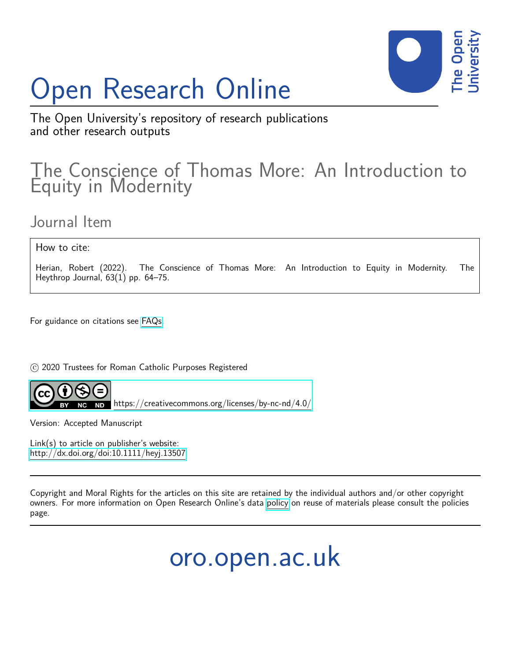# Open Research Online



The Open University's repository of research publications and other research outputs

# The Conscience of Thomas More: An Introduction to Equity in Modernity

Journal Item

How to cite:

Herian, Robert (2022). The Conscience of Thomas More: An Introduction to Equity in Modernity. The Heythrop Journal, 63(1) pp. 64–75.

For guidance on citations see [FAQs.](http://oro.open.ac.uk/help/helpfaq.html)

 $\odot$  2020 Trustees for Roman Catholic Purposes Registered



<https://creativecommons.org/licenses/by-nc-nd/4.0/>

Version: Accepted Manuscript

Link(s) to article on publisher's website: <http://dx.doi.org/doi:10.1111/heyj.13507>

Copyright and Moral Rights for the articles on this site are retained by the individual authors and/or other copyright owners. For more information on Open Research Online's data [policy](http://oro.open.ac.uk/policies.html) on reuse of materials please consult the policies page.

oro.open.ac.uk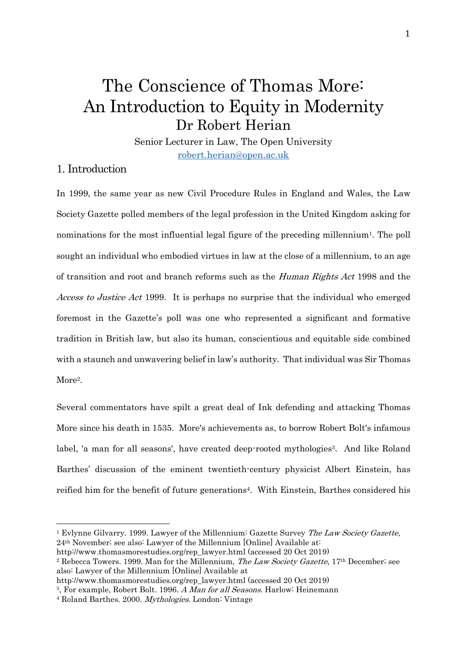## The Conscience of Thomas More: An Introduction to Equity in Modernity Dr Robert Herian

Senior Lecturer in Law, The Open University [robert.herian@open.ac.uk](mailto:robert.herian@open.ac.uk)

## 1. Introduction

In 1999, the same year as new Civil Procedure Rules in England and Wales, the Law Society Gazette polled members of the legal profession in the United Kingdom asking for nominations for the most influential legal figure of the preceding millennium<sup>1</sup>. The poll sought an individual who embodied virtues in law at the close of a millennium, to an age of transition and root and branch reforms such as the Human Rights Act 1998 and the Access to Justice Act 1999. It is perhaps no surprise that the individual who emerged foremost in the Gazette's poll was one who represented a significant and formative tradition in British law, but also its human, conscientious and equitable side combined with a staunch and unwavering belief in law's authority. That individual was Sir Thomas More<sup>2</sup>.

Several commentators have spilt a great deal of Ink defending and attacking Thomas More since his death in 1535. More's achievements as, to borrow Robert Bolt's infamous label, 'a man for all seasons', have created deep-rooted mythologies<sup>3</sup>. And like Roland Barthes' discussion of the eminent twentieth-century physicist Albert Einstein, has reified him for the benefit of future generations<sup>4</sup>. With Einstein, Barthes considered his

http://www.thomasmorestudies.org/rep\_lawyer.html (accessed 20 Oct 2019)

<sup>&</sup>lt;sup>1</sup> Evlynne Gilvarry. 1999. Lawyer of the Millennium: Gazette Survey The Law Society Gazette, 24th November; see also: Lawyer of the Millennium [Online] Available at:

<sup>&</sup>lt;sup>2</sup> Rebecca Towers. 1999. Man for the Millennium, *The Law Society Gazette*, 17<sup>th</sup> December; see also: Lawyer of the Millennium [Online] Available at

http://www.thomasmorestudies.org/rep\_lawyer.html (accessed 20 Oct 2019)

<sup>&</sup>lt;sup>3</sup>, For example, Robert Bolt. 1996. A Man for all Seasons. Harlow: Heinemann

<sup>4</sup> Roland Barthes. 2000. Mythologies. London: Vintage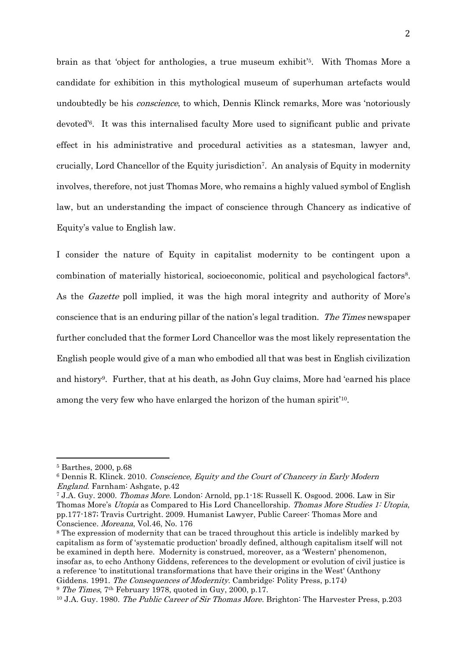brain as that 'object for anthologies, a true museum exhibit'<sup>5</sup> . With Thomas More a candidate for exhibition in this mythological museum of superhuman artefacts would undoubtedly be his *conscience*, to which, Dennis Klinck remarks, More was 'notoriously devoted'<sup>6</sup> . It was this internalised faculty More used to significant public and private effect in his administrative and procedural activities as a statesman, lawyer and, crucially, Lord Chancellor of the Equity jurisdiction<sup>7</sup> . An analysis of Equity in modernity involves, therefore, not just Thomas More, who remains a highly valued symbol of English law, but an understanding the impact of conscience through Chancery as indicative of Equity's value to English law.

I consider the nature of Equity in capitalist modernity to be contingent upon a combination of materially historical, socioeconomic, political and psychological factors<sup>8</sup>. As the Gazette poll implied, it was the high moral integrity and authority of More's conscience that is an enduring pillar of the nation's legal tradition. The Times newspaper further concluded that the former Lord Chancellor was the most likely representation the English people would give of a man who embodied all that was best in English civilization and history<sup>9</sup> . Further, that at his death, as John Guy claims, More had 'earned his place among the very few who have enlarged the horizon of the human spirit<sup>'10</sup>.

<sup>8</sup> The expression of modernity that can be traced throughout this article is indelibly marked by capitalism as form of 'systematic production' broadly defined, although capitalism itself will not be examined in depth here. Modernity is construed, moreover, as a 'Western' phenomenon, insofar as, to echo Anthony Giddens, references to the development or evolution of civil justice is a reference 'to institutional transformations that have their origins in the West' (Anthony Giddens. 1991. The Consequences of Modernity. Cambridge: Polity Press, p.174) <sup>9</sup> The Times, 7<sup>th</sup> February 1978, quoted in Guy, 2000, p.17.

<sup>5</sup> Barthes, 2000, p.68

<sup>6</sup> Dennis R. Klinck. 2010. Conscience, Equity and the Court of Chancery in Early Modern England. Farnham: Ashgate, p.42

<sup>7</sup> J.A. Guy. 2000. Thomas More. London: Arnold, pp.1-18; Russell K. Osgood. 2006. Law in Sir Thomas More's Utopia as Compared to His Lord Chancellorship. Thomas More Studies 1: Utopia, pp.177-187; Travis Curtright. 2009. Humanist Lawyer, Public Career: Thomas More and Conscience. Moreana, Vol.46, No. 176

<sup>&</sup>lt;sup>10</sup> J.A. Guy. 1980. *The Public Career of Sir Thomas More*. Brighton: The Harvester Press, p.203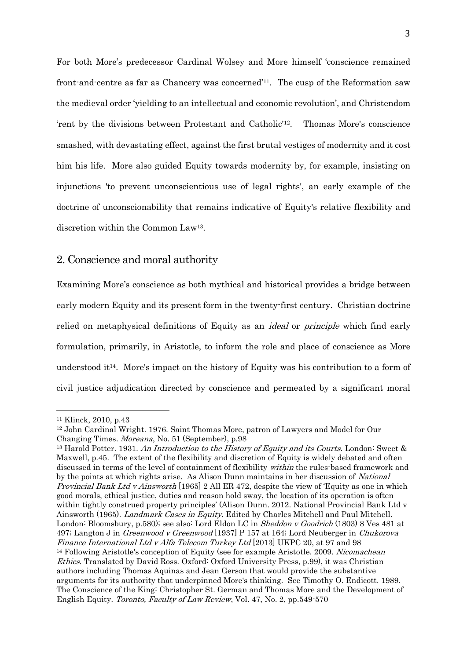For both More's predecessor Cardinal Wolsey and More himself 'conscience remained front-and-centre as far as Chancery was concerned'<sup>11</sup> . The cusp of the Reformation saw the medieval order 'yielding to an intellectual and economic revolution', and Christendom 'rent by the divisions between Protestant and Catholic'12. Thomas More's conscience smashed, with devastating effect, against the first brutal vestiges of modernity and it cost him his life. More also guided Equity towards modernity by, for example, insisting on injunctions 'to prevent unconscientious use of legal rights', an early example of the doctrine of unconscionability that remains indicative of Equity's relative flexibility and discretion within the Common Law<sup>13</sup> .

#### 2. Conscience and moral authority

Examining More's conscience as both mythical and historical provides a bridge between early modern Equity and its present form in the twenty-first century. Christian doctrine relied on metaphysical definitions of Equity as an *ideal* or *principle* which find early formulation, primarily, in Aristotle, to inform the role and place of conscience as More understood it<sup>14</sup>. More's impact on the history of Equity was his contribution to a form of civil justice adjudication directed by conscience and permeated by a significant moral

<sup>11</sup> Klinck, 2010, p.43

<sup>12</sup> John Cardinal Wright. 1976. Saint Thomas More, patron of Lawyers and Model for Our Changing Times. Moreana, No. 51 (September), p.98

<sup>&</sup>lt;sup>13</sup> Harold Potter. 1931. An Introduction to the History of Equity and its Courts. London: Sweet  $\&$ Maxwell, p.45. The extent of the flexibility and discretion of Equity is widely debated and often discussed in terms of the level of containment of flexibility within the rules-based framework and by the points at which rights arise. As Alison Dunn maintains in her discussion of National Provincial Bank Ltd v Ainsworth [1965] 2 All ER 472, despite the view of 'Equity as one in which good morals, ethical justice, duties and reason hold sway, the location of its operation is often within tightly construed property principles' (Alison Dunn. 2012. National Provincial Bank Ltd v Ainsworth (1965). Landmark Cases in Equity. Edited by Charles Mitchell and Paul Mitchell. London: Bloomsbury, p.580); see also: Lord Eldon LC in *Sheddon v Goodrich* (1803) 8 Ves 481 at 497; Langton J in Greenwood v Greenwood [1937] P 157 at 164; Lord Neuberger in Chukorova Finance International Ltd v Alfa Telecom Turkey Ltd [2013] UKPC 20, at 97 and 98 <sup>14</sup> Following Aristotle's conception of Equity (see for example Aristotle. 2009. Nicomachean Ethics. Translated by David Ross. Oxford: Oxford University Press, p.99), it was Christian authors including Thomas Aquinas and Jean Gerson that would provide the substantive arguments for its authority that underpinned More's thinking. See Timothy O. Endicott. 1989. The Conscience of the King: Christopher St. German and Thomas More and the Development of English Equity. Toronto, Faculty of Law Review, Vol. 47, No. 2, pp.549-570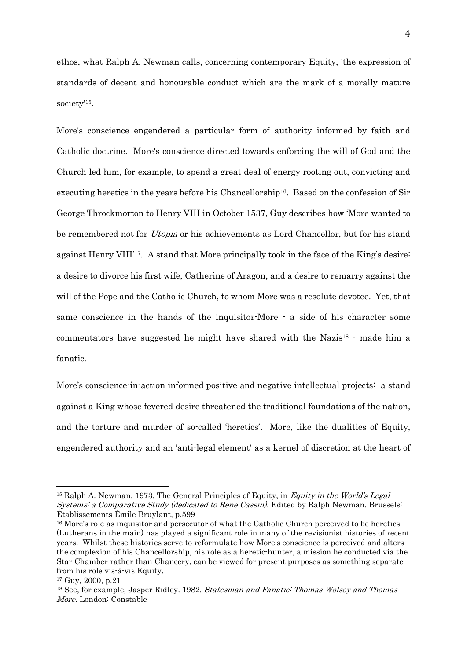ethos, what Ralph A. Newman calls, concerning contemporary Equity, 'the expression of standards of decent and honourable conduct which are the mark of a morally mature society'<sup>15</sup> .

More's conscience engendered a particular form of authority informed by faith and Catholic doctrine. More's conscience directed towards enforcing the will of God and the Church led him, for example, to spend a great deal of energy rooting out, convicting and executing heretics in the years before his Chancellorship<sup>16</sup>. Based on the confession of Sir George Throckmorton to Henry VIII in October 1537, Guy describes how 'More wanted to be remembered not for Utopia or his achievements as Lord Chancellor, but for his stand against Henry VIII'17. A stand that More principally took in the face of the King's desire: a desire to divorce his first wife, Catherine of Aragon, and a desire to remarry against the will of the Pope and the Catholic Church, to whom More was a resolute devotee. Yet, that same conscience in the hands of the inquisitor-More - a side of his character some commentators have suggested he might have shared with the Nazis<sup>18</sup>  $\cdot$  made him a fanatic.

More's conscience-in-action informed positive and negative intellectual projects: a stand against a King whose fevered desire threatened the traditional foundations of the nation, and the torture and murder of so-called 'heretics'. More, like the dualities of Equity, engendered authority and an 'anti-legal element' as a kernel of discretion at the heart of

<sup>&</sup>lt;sup>15</sup> Ralph A. Newman. 1973. The General Principles of Equity, in *Equity in the World's Legal* Systems: a Comparative Study (dedicated to Rene Cassin). Edited by Ralph Newman. Brussels: Établissements Émile Bruylant, p.599

<sup>&</sup>lt;sup>16</sup> More's role as inquisitor and persecutor of what the Catholic Church perceived to be heretics (Lutherans in the main) has played a significant role in many of the revisionist histories of recent years. Whilst these histories serve to reformulate how More's conscience is perceived and alters the complexion of his Chancellorship, his role as a heretic-hunter, a mission he conducted via the Star Chamber rather than Chancery, can be viewed for present purposes as something separate from his role vis-à-vis Equity.

<sup>17</sup> Guy, 2000, p.21

<sup>&</sup>lt;sup>18</sup> See, for example, Jasper Ridley. 1982. Statesman and Fanatic: Thomas Wolsey and Thomas More. London: Constable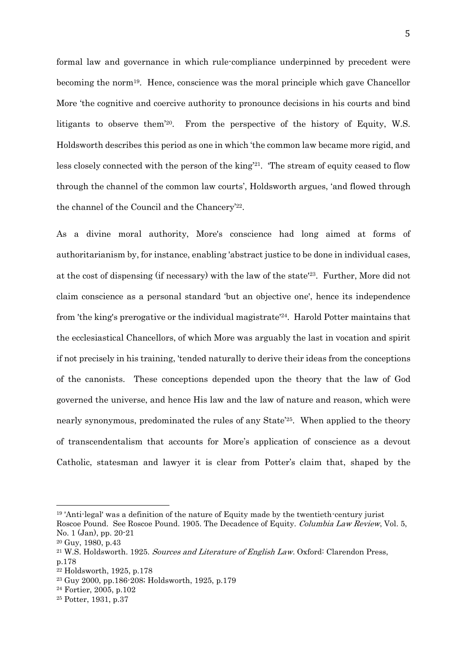formal law and governance in which rule-compliance underpinned by precedent were becoming the norm<sup>19</sup>. Hence, conscience was the moral principle which gave Chancellor More 'the cognitive and coercive authority to pronounce decisions in his courts and bind litigants to observe them'<sup>20</sup> . From the perspective of the history of Equity, W.S. Holdsworth describes this period as one in which 'the common law became more rigid, and less closely connected with the person of the king' <sup>21</sup>. 'The stream of equity ceased to flow through the channel of the common law courts', Holdsworth argues, 'and flowed through the channel of the Council and the Chancery'<sup>22</sup> .

As a divine moral authority, More's conscience had long aimed at forms of authoritarianism by, for instance, enabling 'abstract justice to be done in individual cases, at the cost of dispensing (if necessary) with the law of the state'<sup>23</sup> . Further, More did not claim conscience as a personal standard 'but an objective one', hence its independence from 'the king's prerogative or the individual magistrate'24. Harold Potter maintains that the ecclesiastical Chancellors, of which More was arguably the last in vocation and spirit if not precisely in his training, 'tended naturally to derive their ideas from the conceptions of the canonists. These conceptions depended upon the theory that the law of God governed the universe, and hence His law and the law of nature and reason, which were nearly synonymous, predominated the rules of any State'25. When applied to the theory of transcendentalism that accounts for More's application of conscience as a devout Catholic, statesman and lawyer it is clear from Potter's claim that, shaped by the

<sup>19</sup> 'Anti-legal' was a definition of the nature of Equity made by the twentieth-century jurist

Roscoe Pound. See Roscoe Pound. 1905. The Decadence of Equity. Columbia Law Review, Vol. 5, No. 1 (Jan), pp. 20-21

<sup>20</sup> Guy, 1980, p.43

<sup>&</sup>lt;sup>21</sup> W.S. Holdsworth. 1925. Sources and Literature of English Law. Oxford: Clarendon Press, p.178

<sup>22</sup> Holdsworth, 1925, p.178

<sup>23</sup> Guy 2000, pp.186-208; Holdsworth, 1925, p.179

<sup>24</sup> Fortier, 2005, p.102

<sup>25</sup> Potter, 1931, p.37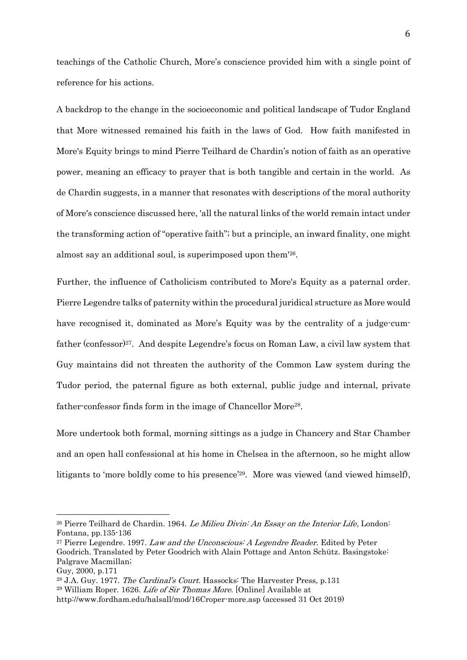teachings of the Catholic Church, More's conscience provided him with a single point of reference for his actions.

A backdrop to the change in the socioeconomic and political landscape of Tudor England that More witnessed remained his faith in the laws of God. How faith manifested in More's Equity brings to mind Pierre Teilhard de Chardin's notion of faith as an operative power, meaning an efficacy to prayer that is both tangible and certain in the world. As de Chardin suggests, in a manner that resonates with descriptions of the moral authority of More's conscience discussed here, 'all the natural links of the world remain intact under the transforming action of "operative faith"; but a principle, an inward finality, one might almost say an additional soul, is superimposed upon them'<sup>26</sup> .

Further, the influence of Catholicism contributed to More's Equity as a paternal order. Pierre Legendre talks of paternity within the procedural juridical structure as More would have recognised it, dominated as More's Equity was by the centrality of a judge-cumfather (confessor)<sup>27</sup> . And despite Legendre's focus on Roman Law, a civil law system that Guy maintains did not threaten the authority of the Common Law system during the Tudor period, the paternal figure as both external, public judge and internal, private father-confessor finds form in the image of Chancellor More<sup>28</sup>.

More undertook both formal, morning sittings as a judge in Chancery and Star Chamber and an open hall confessional at his home in Chelsea in the afternoon, so he might allow litigants to 'more boldly come to his presence'<sup>29</sup>. More was viewed (and viewed himself),

<sup>&</sup>lt;sup>26</sup> Pierre Teilhard de Chardin. 1964. Le Milieu Divin: An Essay on the Interior Life, London: Fontana, pp.135-136

<sup>&</sup>lt;sup>27</sup> Pierre Legendre. 1997. Law and the Unconscious: A Legendre Reader. Edited by Peter Goodrich. Translated by Peter Goodrich with Alain Pottage and Anton Schütz. Basingstoke: Palgrave Macmillan;

Guy, 2000, p.171

<sup>&</sup>lt;sup>28</sup> J.A. Guy. 1977. *The Cardinal's Court*. Hassocks: The Harvester Press, p.131

 $29$  William Roper. 1626. Life of Sir Thomas More. [Online] Available at

http://www.fordham.edu/halsall/mod/16Croper-more.asp (accessed 31 Oct 2019)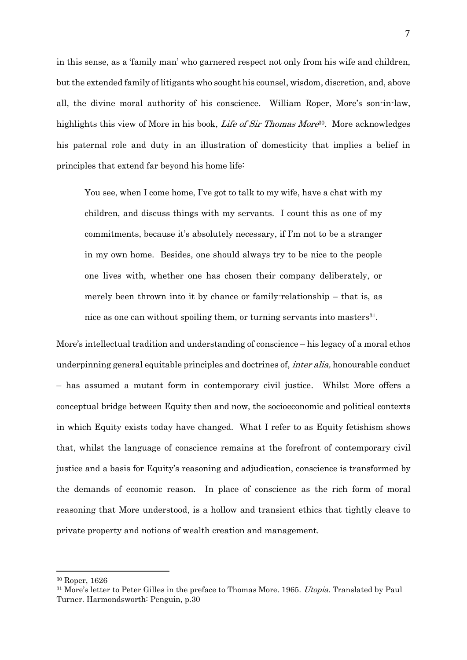in this sense, as a 'family man' who garnered respect not only from his wife and children, but the extended family of litigants who sought his counsel, wisdom, discretion, and, above all, the divine moral authority of his conscience. William Roper, More's son-in-law, highlights this view of More in his book, *Life of Sir Thomas More*<sup>30</sup>. More acknowledges his paternal role and duty in an illustration of domesticity that implies a belief in principles that extend far beyond his home life:

You see, when I come home, I've got to talk to my wife, have a chat with my children, and discuss things with my servants. I count this as one of my commitments, because it's absolutely necessary, if I'm not to be a stranger in my own home. Besides, one should always try to be nice to the people one lives with, whether one has chosen their company deliberately, or merely been thrown into it by chance or family-relationship – that is, as nice as one can without spoiling them, or turning servants into masters<sup>31</sup>.

More's intellectual tradition and understanding of conscience – his legacy of a moral ethos underpinning general equitable principles and doctrines of, *inter alia*, honourable conduct – has assumed a mutant form in contemporary civil justice. Whilst More offers a conceptual bridge between Equity then and now, the socioeconomic and political contexts in which Equity exists today have changed. What I refer to as Equity fetishism shows that, whilst the language of conscience remains at the forefront of contemporary civil justice and a basis for Equity's reasoning and adjudication, conscience is transformed by the demands of economic reason. In place of conscience as the rich form of moral reasoning that More understood, is a hollow and transient ethics that tightly cleave to private property and notions of wealth creation and management.

<sup>30</sup> Roper, 1626

<sup>&</sup>lt;sup>31</sup> More's letter to Peter Gilles in the preface to Thomas More. 1965. *Utopia*. Translated by Paul Turner. Harmondsworth: Penguin, p.30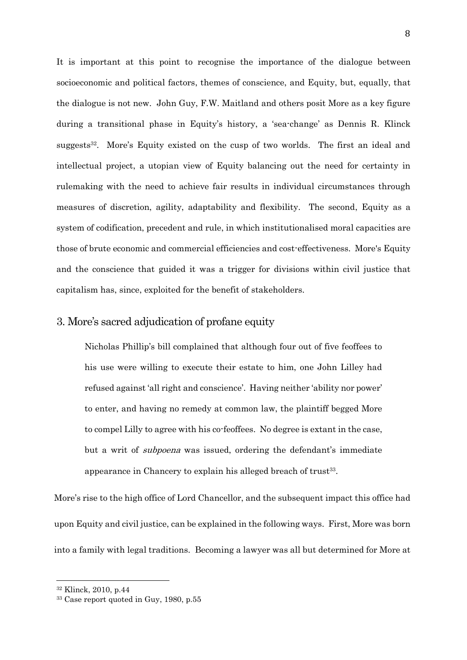It is important at this point to recognise the importance of the dialogue between socioeconomic and political factors, themes of conscience, and Equity, but, equally, that the dialogue is not new. John Guy, F.W. Maitland and others posit More as a key figure during a transitional phase in Equity's history, a 'sea-change' as Dennis R. Klinck suggests<sup>32</sup>. More's Equity existed on the cusp of two worlds. The first an ideal and intellectual project, a utopian view of Equity balancing out the need for certainty in rulemaking with the need to achieve fair results in individual circumstances through measures of discretion, agility, adaptability and flexibility. The second, Equity as a system of codification, precedent and rule, in which institutionalised moral capacities are those of brute economic and commercial efficiencies and cost-effectiveness. More's Equity and the conscience that guided it was a trigger for divisions within civil justice that capitalism has, since, exploited for the benefit of stakeholders.

#### 3. More's sacred adjudication of profane equity

Nicholas Phillip's bill complained that although four out of five feoffees to his use were willing to execute their estate to him, one John Lilley had refused against 'all right and conscience'. Having neither 'ability nor power' to enter, and having no remedy at common law, the plaintiff begged More to compel Lilly to agree with his co-feoffees. No degree is extant in the case, but a writ of *subpoena* was issued, ordering the defendant's immediate appearance in Chancery to explain his alleged breach of trust<sup>33</sup>.

More's rise to the high office of Lord Chancellor, and the subsequent impact this office had upon Equity and civil justice, can be explained in the following ways. First, More was born into a family with legal traditions. Becoming a lawyer was all but determined for More at

<sup>32</sup> Klinck, 2010, p.44

<sup>33</sup> Case report quoted in Guy, 1980, p.55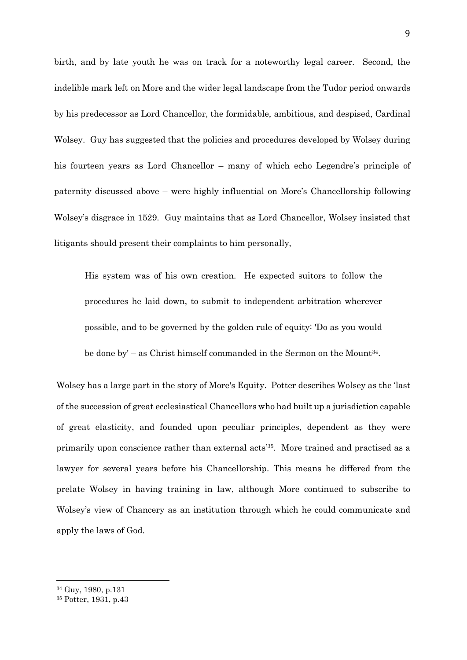birth, and by late youth he was on track for a noteworthy legal career. Second, the indelible mark left on More and the wider legal landscape from the Tudor period onwards by his predecessor as Lord Chancellor, the formidable, ambitious, and despised, Cardinal Wolsey. Guy has suggested that the policies and procedures developed by Wolsey during his fourteen years as Lord Chancellor – many of which echo Legendre's principle of paternity discussed above – were highly influential on More's Chancellorship following Wolsey's disgrace in 1529. Guy maintains that as Lord Chancellor, Wolsey insisted that litigants should present their complaints to him personally,

His system was of his own creation. He expected suitors to follow the procedures he laid down, to submit to independent arbitration wherever possible, and to be governed by the golden rule of equity: 'Do as you would be done by' – as Christ himself commanded in the Sermon on the Mount<sup>34</sup>.

Wolsey has a large part in the story of More's Equity. Potter describes Wolsey as the 'last of the succession of great ecclesiastical Chancellors who had built up a jurisdiction capable of great elasticity, and founded upon peculiar principles, dependent as they were primarily upon conscience rather than external acts'<sup>35</sup> . More trained and practised as a lawyer for several years before his Chancellorship. This means he differed from the prelate Wolsey in having training in law, although More continued to subscribe to Wolsey's view of Chancery as an institution through which he could communicate and apply the laws of God.

<sup>34</sup> Guy, 1980, p.131

<sup>35</sup> Potter, 1931, p.43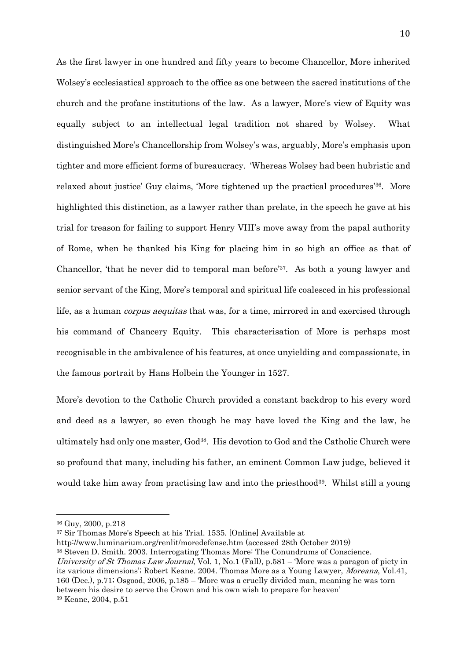As the first lawyer in one hundred and fifty years to become Chancellor, More inherited Wolsey's ecclesiastical approach to the office as one between the sacred institutions of the church and the profane institutions of the law. As a lawyer, More's view of Equity was equally subject to an intellectual legal tradition not shared by Wolsey. What distinguished More's Chancellorship from Wolsey's was, arguably, More's emphasis upon tighter and more efficient forms of bureaucracy. 'Whereas Wolsey had been hubristic and relaxed about justice' Guy claims, 'More tightened up the practical procedures'36. More highlighted this distinction, as a lawyer rather than prelate, in the speech he gave at his trial for treason for failing to support Henry VIII's move away from the papal authority of Rome, when he thanked his King for placing him in so high an office as that of Chancellor, 'that he never did to temporal man before'37. As both a young lawyer and senior servant of the King, More's temporal and spiritual life coalesced in his professional life, as a human *corpus aequitas* that was, for a time, mirrored in and exercised through his command of Chancery Equity. This characterisation of More is perhaps most recognisable in the ambivalence of his features, at once unyielding and compassionate, in the famous portrait by Hans Holbein the Younger in 1527.

More's devotion to the Catholic Church provided a constant backdrop to his every word and deed as a lawyer, so even though he may have loved the King and the law, he ultimately had only one master, God<sup>38</sup>. His devotion to God and the Catholic Church were so profound that many, including his father, an eminent Common Law judge, believed it would take him away from practising law and into the priesthood<sup>39</sup>. Whilst still a young

<sup>37</sup> Sir Thomas More's Speech at his Trial. 1535. [Online] Available at

University of St Thomas Law Journal, Vol. 1, No.1 (Fall), p.581 – 'More was a paragon of piety in its various dimensions'; Robert Keane. 2004. Thomas More as a Young Lawyer, Moreana, Vol.41, 160 (Dec.), p.71; Osgood, 2006, p.185 – 'More was a cruelly divided man, meaning he was torn between his desire to serve the Crown and his own wish to prepare for heaven' <sup>39</sup> Keane, 2004, p.51

<sup>36</sup> Guy, 2000, p.218

http://www.luminarium.org/renlit/moredefense.htm (accessed 28th October 2019)

<sup>38</sup> Steven D. Smith. 2003. Interrogating Thomas More: The Conundrums of Conscience.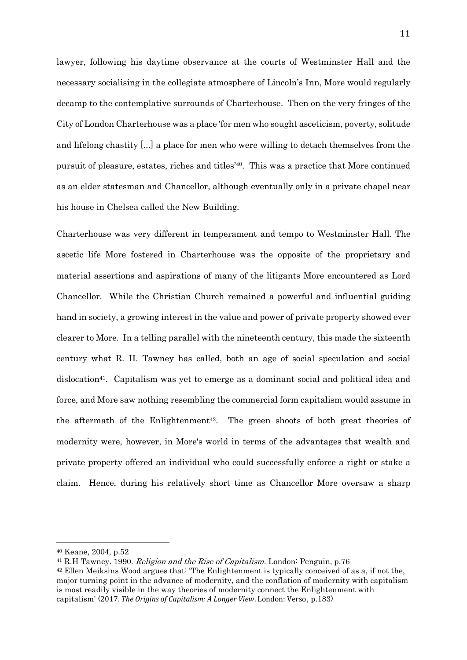lawyer, following his daytime observance at the courts of Westminster Hall and the necessary socialising in the collegiate atmosphere of Lincoln's Inn, More would regularly decamp to the contemplative surrounds of Charterhouse. Then on the very fringes of the City of London Charterhouse was a place 'for men who sought asceticism, poverty, solitude and lifelong chastity [...] a place for men who were willing to detach themselves from the pursuit of pleasure, estates, riches and titles'40. This was a practice that More continued as an elder statesman and Chancellor, although eventually only in a private chapel near his house in Chelsea called the New Building.

Charterhouse was very different in temperament and tempo to Westminster Hall. The ascetic life More fostered in Charterhouse was the opposite of the proprietary and material assertions and aspirations of many of the litigants More encountered as Lord Chancellor. While the Christian Church remained a powerful and influential guiding hand in society, a growing interest in the value and power of private property showed ever clearer to More. In a telling parallel with the nineteenth century, this made the sixteenth century what R. H. Tawney has called, both an age of social speculation and social dislocation<sup>41</sup>. Capitalism was yet to emerge as a dominant social and political idea and force, and More saw nothing resembling the commercial form capitalism would assume in the aftermath of the Enlightenment<sup>42</sup>. The green shoots of both great theories of modernity were, however, in More's world in terms of the advantages that wealth and private property offered an individual who could successfully enforce a right or stake a claim. Hence, during his relatively short time as Chancellor More oversaw a sharp

<sup>40</sup> Keane, 2004, p.52

 $41$  R.H Tawney. 1990. Religion and the Rise of Capitalism. London: Penguin, p.76

<sup>42</sup> Ellen Meiksins Wood argues that: 'The Enlightenment is typically conceived of as a, if not the, major turning point in the advance of modernity, and the conflation of modernity with capitalism is most readily visible in the way theories of modernity connect the Enlightenment with capitalism' (2017. *The Origins of Capitalism: A Longer View*. London: Verso, p.183)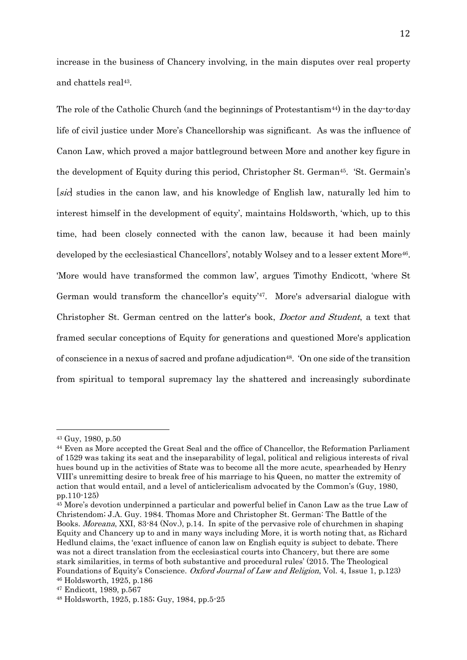increase in the business of Chancery involving, in the main disputes over real property and chattels real<sup>43</sup>.

The role of the Catholic Church (and the beginnings of Protestantism<sup>44)</sup> in the day-to-day life of civil justice under More's Chancellorship was significant. As was the influence of Canon Law, which proved a major battleground between More and another key figure in the development of Equity during this period, Christopher St. German<sup>45</sup>. 'St. Germain's [sic] studies in the canon law, and his knowledge of English law, naturally led him to interest himself in the development of equity', maintains Holdsworth, 'which, up to this time, had been closely connected with the canon law, because it had been mainly developed by the ecclesiastical Chancellors', notably Wolsey and to a lesser extent More<sup>46</sup>. 'More would have transformed the common law', argues Timothy Endicott, 'where St German would transform the chancellor's equity'<sup>47</sup>. More's adversarial dialogue with Christopher St. German centred on the latter's book, Doctor and Student, a text that framed secular conceptions of Equity for generations and questioned More's application of conscience in a nexus of sacred and profane adjudication48. 'On one side of the transition from spiritual to temporal supremacy lay the shattered and increasingly subordinate

<sup>43</sup> Guy, 1980, p.50

<sup>44</sup> Even as More accepted the Great Seal and the office of Chancellor, the Reformation Parliament of 1529 was taking its seat and the inseparability of legal, political and religious interests of rival hues bound up in the activities of State was to become all the more acute, spearheaded by Henry VIII's unremitting desire to break free of his marriage to his Queen, no matter the extremity of action that would entail, and a level of anticlericalism advocated by the Common's (Guy, 1980, pp.110-125)

<sup>45</sup> More's devotion underpinned a particular and powerful belief in Canon Law as the true Law of Christendom; J.A. Guy. 1984. Thomas More and Christopher St. German: The Battle of the Books. Moreana, XXI, 83-84 (Nov.), p.14. In spite of the pervasive role of churchmen in shaping Equity and Chancery up to and in many ways including More, it is worth noting that, as Richard Hedlund claims, the 'exact influence of canon law on English equity is subject to debate. There was not a direct translation from the ecclesiastical courts into Chancery, but there are some stark similarities, in terms of both substantive and procedural rules' (2015. The Theological Foundations of Equity's Conscience. Oxford Journal of Law and Religion, Vol. 4, Issue 1, p.123) <sup>46</sup> Holdsworth, 1925, p.186

<sup>47</sup> Endicott, 1989, p.567

<sup>48</sup> Holdsworth, 1925, p.185; Guy, 1984, pp.5-25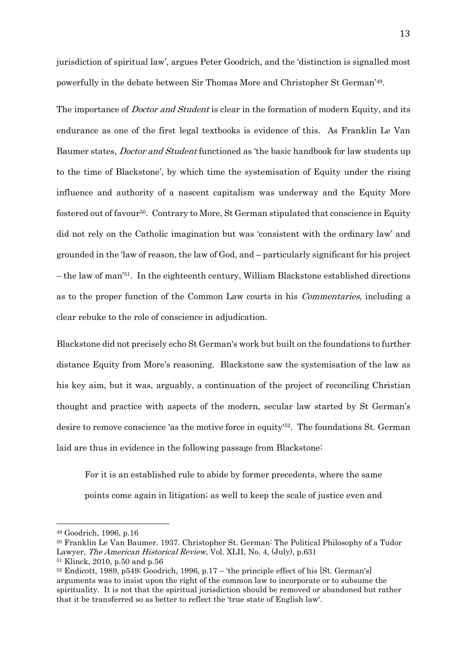jurisdiction of spiritual law', argues Peter Goodrich, and the 'distinction is signalled most powerfully in the debate between Sir Thomas More and Christopher St German'<sup>49</sup> .

The importance of *Doctor and Student* is clear in the formation of modern Equity, and its endurance as one of the first legal textbooks is evidence of this. As Franklin Le Van Baumer states, *Doctor and Student* functioned as 'the basic handbook for law students up to the time of Blackstone', by which time the systemisation of Equity under the rising influence and authority of a nascent capitalism was underway and the Equity More fostered out of favour50. Contrary to More, St German stipulated that conscience in Equity did not rely on the Catholic imagination but was 'consistent with the ordinary law' and grounded in the 'law of reason, the law of God, and – particularly significant for his project – the law of man'<sup>51</sup> . In the eighteenth century, William Blackstone established directions as to the proper function of the Common Law courts in his Commentaries, including a clear rebuke to the role of conscience in adjudication.

Blackstone did not precisely echo St German's work but built on the foundations to further distance Equity from More's reasoning. Blackstone saw the systemisation of the law as his key aim, but it was, arguably, a continuation of the project of reconciling Christian thought and practice with aspects of the modern, secular law started by St German's desire to remove conscience 'as the motive force in equity<sup>52</sup>. The foundations St. German laid are thus in evidence in the following passage from Blackstone:

For it is an established rule to abide by former precedents, where the same points come again in litigation; as well to keep the scale of justice even and

<sup>49</sup> Goodrich, 1996, p.16

<sup>50</sup> Franklin Le Van Baumer. 1937. Christopher St. German: The Political Philosophy of a Tudor Lawyer, The American Historical Review, Vol. XLII, No. 4, (July), p.631

<sup>51</sup> Klinck, 2010, p.50 and p.56

<sup>52</sup> Endicott, 1989, p549; Goodrich, 1996, p.17 – 'the principle effect of his [St. German's] arguments was to insist upon the right of the common law to incorporate or to subsume the spirituality. It is not that the spiritual jurisdiction should be removed or abandoned but rather that it be transferred so as better to reflect the 'true state of English law'.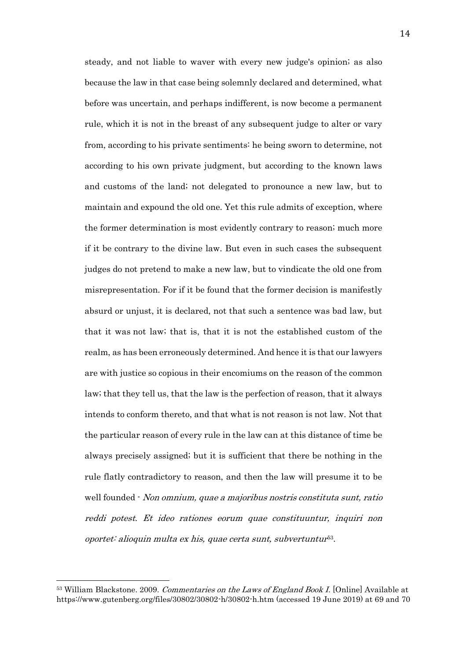steady, and not liable to waver with every new judge's opinion; as also because the law in that case being solemnly declared and determined, what before was uncertain, and perhaps indifferent, is now become a permanent rule, which it is not in the breast of any subsequent judge to alter or vary from, according to his private sentiments: he being sworn to determine, not according to his own private judgment, but according to the known laws and customs of the land; not delegated to pronounce a new law, but to maintain and expound the old one. Yet this rule admits of exception, where the former determination is most evidently contrary to reason; much more if it be contrary to the divine law. But even in such cases the subsequent judges do not pretend to make a new law, but to vindicate the old one from misrepresentation. For if it be found that the former decision is manifestly absurd or unjust, it is declared, not that such a sentence was bad law, but that it was not law; that is, that it is not the established custom of the realm, as has been erroneously determined. And hence it is that our lawyers are with justice so copious in their encomiums on the reason of the common law; that they tell us, that the law is the perfection of reason, that it always intends to conform thereto, and that what is not reason is not law. Not that the particular reason of every rule in the law can at this distance of time be always precisely assigned; but it is sufficient that there be nothing in the rule flatly contradictory to reason, and then the law will presume it to be well founded - Non omnium, quae a majoribus nostris constituta sunt, ratio reddi potest. Et ideo rationes eorum quae constituuntur, inquiri non oportet: alioquin multa ex his, quae certa sunt, subvertuntur 53 .

<sup>&</sup>lt;sup>53</sup> William Blackstone. 2009. Commentaries on the Laws of England Book I. [Online] Available at https://www.gutenberg.org/files/30802/30802-h/30802-h.htm (accessed 19 June 2019) at 69 and 70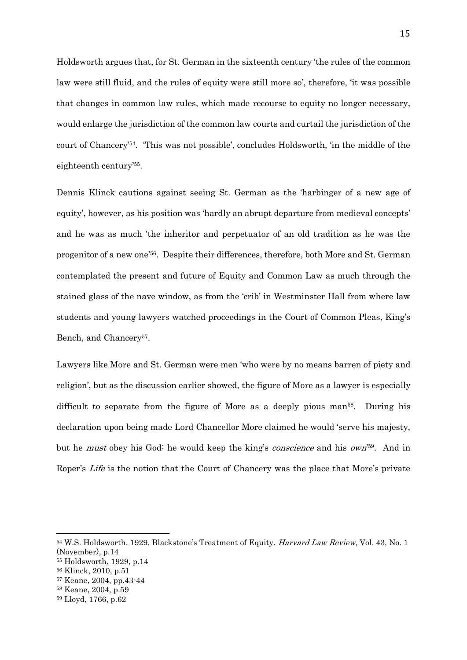Holdsworth argues that, for St. German in the sixteenth century 'the rules of the common law were still fluid, and the rules of equity were still more so', therefore, 'it was possible that changes in common law rules, which made recourse to equity no longer necessary, would enlarge the jurisdiction of the common law courts and curtail the jurisdiction of the court of Chancery' 54 . 'This was not possible', concludes Holdsworth, 'in the middle of the eighteenth century'<sup>55</sup> .

Dennis Klinck cautions against seeing St. German as the 'harbinger of a new age of equity', however, as his position was 'hardly an abrupt departure from medieval concepts' and he was as much 'the inheritor and perpetuator of an old tradition as he was the progenitor of a new one'56. Despite their differences, therefore, both More and St. German contemplated the present and future of Equity and Common Law as much through the stained glass of the nave window, as from the 'crib' in Westminster Hall from where law students and young lawyers watched proceedings in the Court of Common Pleas, King's Bench, and Chancery<sup>57</sup>.

Lawyers like More and St. German were men 'who were by no means barren of piety and religion', but as the discussion earlier showed, the figure of More as a lawyer is especially difficult to separate from the figure of More as a deeply pious man<sup>58</sup>. During his declaration upon being made Lord Chancellor More claimed he would 'serve his majesty, but he *must* obey his God: he would keep the king's *conscience* and his *own*<sup>'59</sup>. And in Roper's Life is the notion that the Court of Chancery was the place that More's private

<sup>&</sup>lt;sup>54</sup> W.S. Holdsworth. 1929. Blackstone's Treatment of Equity. *Harvard Law Review*, Vol. 43, No. 1 (November), p.14

<sup>55</sup> Holdsworth, 1929, p.14

<sup>56</sup> Klinck, 2010, p.51

<sup>57</sup> Keane, 2004, pp.43-44

<sup>58</sup> Keane, 2004, p.59

<sup>59</sup> Lloyd, 1766, p.62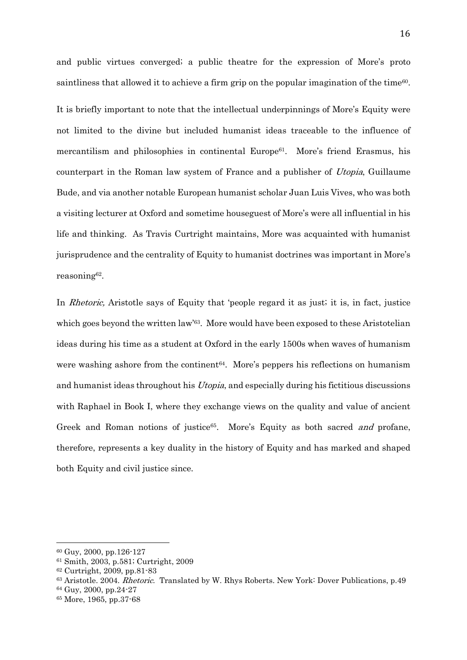and public virtues converged; a public theatre for the expression of More's proto saintliness that allowed it to achieve a firm grip on the popular imagination of the time<sup>60</sup>.

It is briefly important to note that the intellectual underpinnings of More's Equity were not limited to the divine but included humanist ideas traceable to the influence of mercantilism and philosophies in continental Europe61. More's friend Erasmus, his counterpart in the Roman law system of France and a publisher of Utopia, Guillaume Bude, and via another notable European humanist scholar Juan Luis Vives, who was both a visiting lecturer at Oxford and sometime houseguest of More's were all influential in his life and thinking. As Travis Curtright maintains, More was acquainted with humanist jurisprudence and the centrality of Equity to humanist doctrines was important in More's reasoning<sup>62</sup> .

In *Rhetoric*, Aristotle says of Equity that 'people regard it as just; it is, in fact, justice which goes beyond the written law<sup>'63</sup>. More would have been exposed to these Aristotelian ideas during his time as a student at Oxford in the early 1500s when waves of humanism were washing ashore from the continent<sup>64</sup>. More's peppers his reflections on humanism and humanist ideas throughout his *Utopia*, and especially during his fictitious discussions with Raphael in Book I, where they exchange views on the quality and value of ancient Greek and Roman notions of justice<sup>65</sup>. More's Equity as both sacred *and* profane, therefore, represents a key duality in the history of Equity and has marked and shaped both Equity and civil justice since.

<sup>60</sup> Guy, 2000, pp.126-127

<sup>61</sup> Smith, 2003, p.581; Curtright, 2009

<sup>62</sup> Curtright, 2009, pp.81-83

<sup>63</sup> Aristotle. 2004. Rhetoric. Translated by W. Rhys Roberts. New York: Dover Publications, p.49

<sup>64</sup> Guy, 2000, pp.24-27

<sup>65</sup> More, 1965, pp.37-68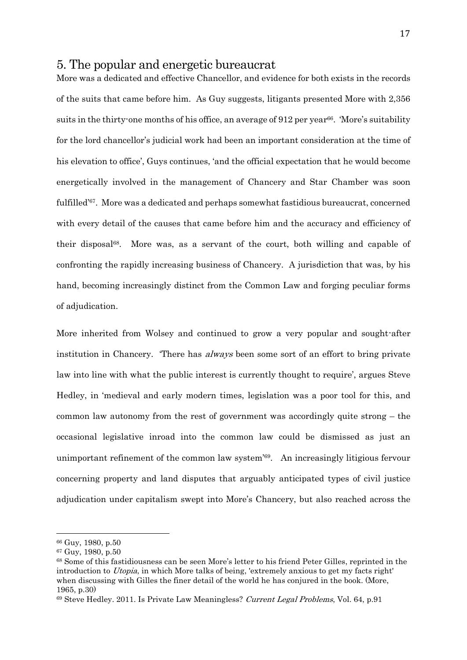### 5. The popular and energetic bureaucrat

More was a dedicated and effective Chancellor, and evidence for both exists in the records of the suits that came before him. As Guy suggests, litigants presented More with 2,356 suits in the thirty-one months of his office, an average of 912 per year<sup>66</sup>. 'More's suitability for the lord chancellor's judicial work had been an important consideration at the time of his elevation to office', Guys continues, 'and the official expectation that he would become energetically involved in the management of Chancery and Star Chamber was soon fulfilled'67. More was a dedicated and perhaps somewhat fastidious bureaucrat, concerned with every detail of the causes that came before him and the accuracy and efficiency of their disposal68. More was, as a servant of the court, both willing and capable of confronting the rapidly increasing business of Chancery. A jurisdiction that was, by his hand, becoming increasingly distinct from the Common Law and forging peculiar forms of adjudication.

More inherited from Wolsey and continued to grow a very popular and sought-after institution in Chancery. There has *always* been some sort of an effort to bring private law into line with what the public interest is currently thought to require', argues Steve Hedley, in 'medieval and early modern times, legislation was a poor tool for this, and common law autonomy from the rest of government was accordingly quite strong – the occasional legislative inroad into the common law could be dismissed as just an unimportant refinement of the common law system'69. An increasingly litigious fervour concerning property and land disputes that arguably anticipated types of civil justice adjudication under capitalism swept into More's Chancery, but also reached across the

<sup>66</sup> Guy, 1980, p.50

<sup>67</sup> Guy, 1980, p.50

<sup>68</sup> Some of this fastidiousness can be seen More's letter to his friend Peter Gilles, reprinted in the introduction to Utopia, in which More talks of being, 'extremely anxious to get my facts right' when discussing with Gilles the finer detail of the world he has conjured in the book. (More, 1965, p.30)

<sup>69</sup> Steve Hedley. 2011. Is Private Law Meaningless? Current Legal Problems, Vol. 64, p.91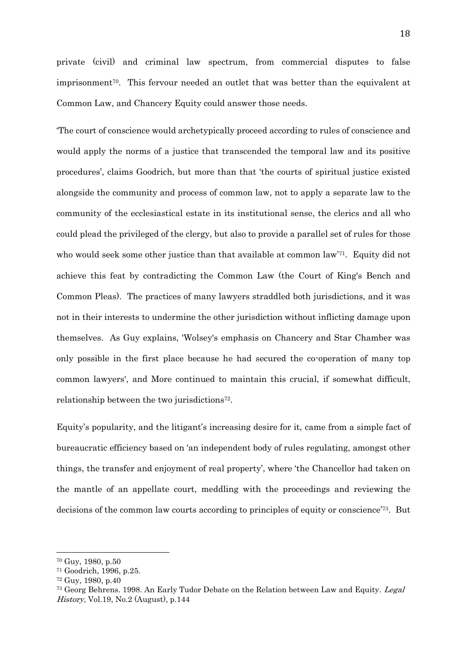private (civil) and criminal law spectrum, from commercial disputes to false imprisonment70. This fervour needed an outlet that was better than the equivalent at Common Law, and Chancery Equity could answer those needs.

'The court of conscience would archetypically proceed according to rules of conscience and would apply the norms of a justice that transcended the temporal law and its positive procedures', claims Goodrich, but more than that 'the courts of spiritual justice existed alongside the community and process of common law, not to apply a separate law to the community of the ecclesiastical estate in its institutional sense, the clerics and all who could plead the privileged of the clergy, but also to provide a parallel set of rules for those who would seek some other justice than that available at common law<sup>'71</sup>. Equity did not achieve this feat by contradicting the Common Law (the Court of King's Bench and Common Pleas). The practices of many lawyers straddled both jurisdictions, and it was not in their interests to undermine the other jurisdiction without inflicting damage upon themselves. As Guy explains, 'Wolsey's emphasis on Chancery and Star Chamber was only possible in the first place because he had secured the co-operation of many top common lawyers', and More continued to maintain this crucial, if somewhat difficult, relationship between the two jurisdictions<sup>72</sup>.

Equity's popularity, and the litigant's increasing desire for it, came from a simple fact of bureaucratic efficiency based on 'an independent body of rules regulating, amongst other things, the transfer and enjoyment of real property', where 'the Chancellor had taken on the mantle of an appellate court, meddling with the proceedings and reviewing the decisions of the common law courts according to principles of equity or conscience'73. But

<sup>70</sup> Guy, 1980, p.50

<sup>71</sup> Goodrich, 1996, p.25.

<sup>72</sup> Guy, 1980, p.40

<sup>&</sup>lt;sup>73</sup> Georg Behrens. 1998. An Early Tudor Debate on the Relation between Law and Equity. Legal History, Vol.19, No.2 (August), p.144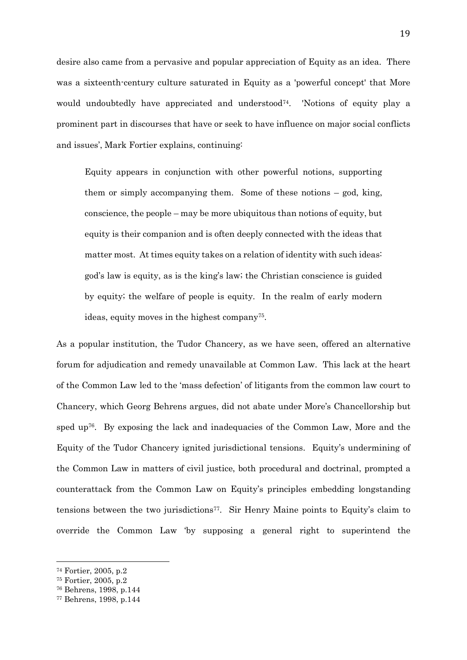desire also came from a pervasive and popular appreciation of Equity as an idea. There was a sixteenth-century culture saturated in Equity as a 'powerful concept' that More would undoubtedly have appreciated and understood<sup> $74$ </sup>. 'Notions of equity play a prominent part in discourses that have or seek to have influence on major social conflicts and issues', Mark Fortier explains, continuing:

Equity appears in conjunction with other powerful notions, supporting them or simply accompanying them. Some of these notions – god, king, conscience, the people – may be more ubiquitous than notions of equity, but equity is their companion and is often deeply connected with the ideas that matter most. At times equity takes on a relation of identity with such ideas: god's law is equity, as is the king's law; the Christian conscience is guided by equity; the welfare of people is equity. In the realm of early modern ideas, equity moves in the highest company<sup>75</sup> .

As a popular institution, the Tudor Chancery, as we have seen, offered an alternative forum for adjudication and remedy unavailable at Common Law. This lack at the heart of the Common Law led to the 'mass defection' of litigants from the common law court to Chancery, which Georg Behrens argues, did not abate under More's Chancellorship but sped up<sup>76</sup>. By exposing the lack and inadequacies of the Common Law, More and the Equity of the Tudor Chancery ignited jurisdictional tensions. Equity's undermining of the Common Law in matters of civil justice, both procedural and doctrinal, prompted a counterattack from the Common Law on Equity's principles embedding longstanding tensions between the two jurisdictions77. Sir Henry Maine points to Equity's claim to override the Common Law 'by supposing a general right to superintend the

<sup>74</sup> Fortier, 2005, p.2

<sup>75</sup> Fortier, 2005, p.2

<sup>76</sup> Behrens, 1998, p.144

<sup>77</sup> Behrens, 1998, p.144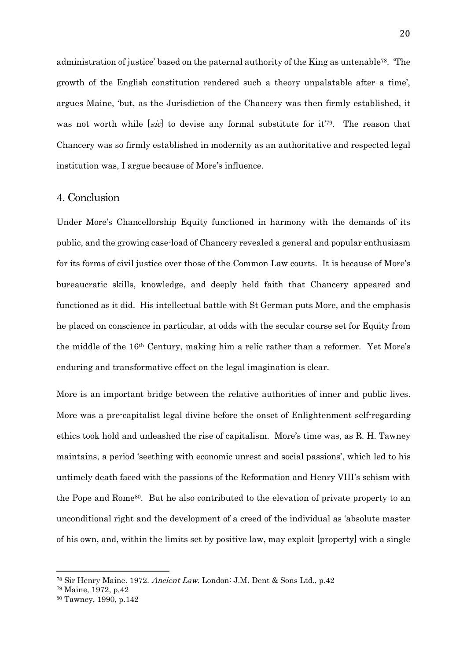administration of justice' based on the paternal authority of the King as untenable78. 'The growth of the English constitution rendered such a theory unpalatable after a time', argues Maine, 'but, as the Jurisdiction of the Chancery was then firmly established, it was not worth while [sic] to devise any formal substitute for it<sup>'79</sup>. The reason that Chancery was so firmly established in modernity as an authoritative and respected legal institution was, I argue because of More's influence.

#### 4. Conclusion

Under More's Chancellorship Equity functioned in harmony with the demands of its public, and the growing case-load of Chancery revealed a general and popular enthusiasm for its forms of civil justice over those of the Common Law courts. It is because of More's bureaucratic skills, knowledge, and deeply held faith that Chancery appeared and functioned as it did. His intellectual battle with St German puts More, and the emphasis he placed on conscience in particular, at odds with the secular course set for Equity from the middle of the 16th Century, making him a relic rather than a reformer. Yet More's enduring and transformative effect on the legal imagination is clear.

More is an important bridge between the relative authorities of inner and public lives. More was a pre-capitalist legal divine before the onset of Enlightenment self-regarding ethics took hold and unleashed the rise of capitalism. More's time was, as R. H. Tawney maintains, a period 'seething with economic unrest and social passions', which led to his untimely death faced with the passions of the Reformation and Henry VIII's schism with the Pope and Rome<sup>80</sup>. But he also contributed to the elevation of private property to an unconditional right and the development of a creed of the individual as 'absolute master of his own, and, within the limits set by positive law, may exploit [property] with a single

<sup>78</sup> Sir Henry Maine. 1972. Ancient Law. London: J.M. Dent & Sons Ltd., p.42

<sup>79</sup> Maine, 1972, p.42

<sup>80</sup> Tawney, 1990, p.142